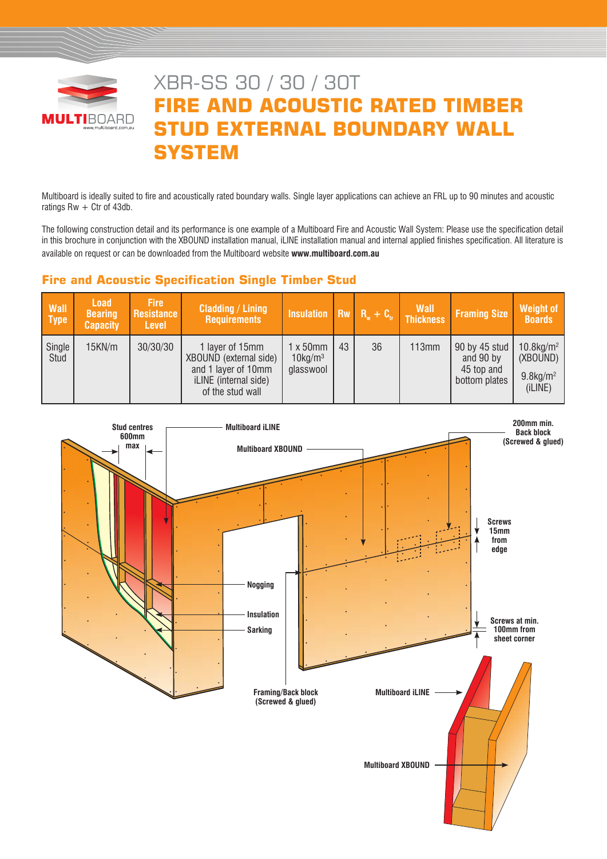

# XBR-SS 30 / 30 / 30T **FIRE AND ACOUSTIC RATED TIMBER STUD EXTERNAL BOUNDARY WALL SYSTEM**

Multiboard is ideally suited to fire and acoustically rated boundary walls. Single layer applications can achieve an FRL up to 90 minutes and acoustic ratings  $Rw + C$ tr of 43db.

The following construction detail and its performance is one example of a Multiboard Fire and Acoustic Wall System: Please use the specification detail in this brochure in conjunction with the XBOUND installation manual, iLINE installation manual and internal applied finishes specification. All literature is available on request or can be downloaded from the Multiboard website **www.multiboard.com.au**

# **Fire and Acoustic Specification Single Timber Stud**

| <b>Wall</b><br><b>Type</b> | <b>Load</b><br><b>Bearing</b><br><b>Capacity</b> | <b>Fire</b><br>Resistance<br><b>Level</b> | <b>Cladding / Lining</b><br><b>Requirements</b>                                                               | Insulation $\overline{R}_w + C_v$ Thickness             |    |    | <b>Wall</b> | <b>Framing Size</b>                                       | Weight of<br><b>Boards</b>                                                 |
|----------------------------|--------------------------------------------------|-------------------------------------------|---------------------------------------------------------------------------------------------------------------|---------------------------------------------------------|----|----|-------------|-----------------------------------------------------------|----------------------------------------------------------------------------|
| Single<br>Stud             | 15KN/m                                           | 30/30/30                                  | 1 layer of 15mm<br>XBOUND (external side)<br>and 1 layer of 10mm<br>iLINE (internal side)<br>of the stud wall | $1 \times 50$ mm<br>$10$ kg/m <sup>3</sup><br>glasswool | 43 | 36 | 113mm       | 90 by 45 stud<br>and 90 by<br>45 top and<br>bottom plates | $10.8$ kg/m <sup>2</sup><br>(XBOUND)<br>$9.8$ kg/m <sup>2</sup><br>(iLINE) |